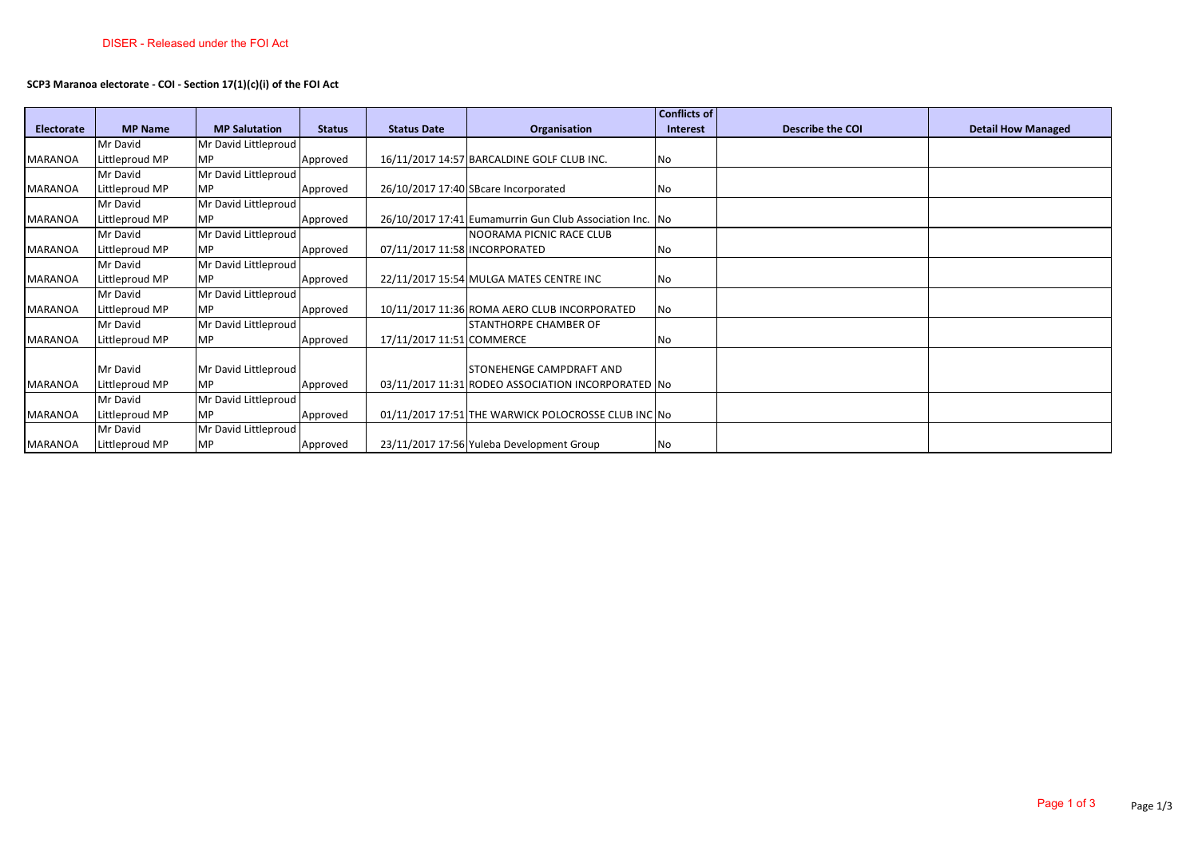## **SCP3 Maranoa electorate - COI - Section 17(1)(c)(i) of the FOI Act**

|                   |                |                      |               |                               |                                                          | <b>Conflicts of</b> |                         |                           |
|-------------------|----------------|----------------------|---------------|-------------------------------|----------------------------------------------------------|---------------------|-------------------------|---------------------------|
| <b>Electorate</b> | <b>MP Name</b> | <b>MP Salutation</b> | <b>Status</b> | <b>Status Date</b>            | Organisation                                             | Interest            | <b>Describe the COI</b> | <b>Detail How Managed</b> |
|                   | Mr David       | Mr David Littleproud |               |                               |                                                          |                     |                         |                           |
| <b>MARANOA</b>    | Littleproud MP | <b>MP</b>            | Approved      |                               | 16/11/2017 14:57 BARCALDINE GOLF CLUB INC.               | No                  |                         |                           |
|                   | Mr David       | Mr David Littleproud |               |                               |                                                          |                     |                         |                           |
| <b>MARANOA</b>    | Littleproud MP | <b>MP</b>            | Approved      |                               | 26/10/2017 17:40 SBcare Incorporated                     | No                  |                         |                           |
|                   | Mr David       | Mr David Littleproud |               |                               |                                                          |                     |                         |                           |
| MARANOA           | Littleproud MP | <b>MP</b>            | Approved      |                               | 26/10/2017 17:41 Eumamurrin Gun Club Association Inc. No |                     |                         |                           |
|                   | Mr David       | Mr David Littleproud |               |                               | NOORAMA PICNIC RACE CLUB                                 |                     |                         |                           |
| <b>MARANOA</b>    | Littleproud MP | <b>MP</b>            | Approved      | 07/11/2017 11:58 INCORPORATED |                                                          | No                  |                         |                           |
|                   | Mr David       | Mr David Littleproud |               |                               |                                                          |                     |                         |                           |
| <b>MARANOA</b>    | Littleproud MP | <b>MP</b>            | Approved      |                               | 22/11/2017 15:54 MULGA MATES CENTRE INC                  | No                  |                         |                           |
|                   | Mr David       | Mr David Littleproud |               |                               |                                                          |                     |                         |                           |
| MARANOA           | Littleproud MP | <b>MP</b>            | Approved      |                               | 10/11/2017 11:36 ROMA AERO CLUB INCORPORATED             | No                  |                         |                           |
|                   | Mr David       | Mr David Littleproud |               |                               | <b>STANTHORPE CHAMBER OF</b>                             |                     |                         |                           |
| <b>MARANOA</b>    | Littleproud MP | <b>MP</b>            | Approved      | 17/11/2017 11:51 COMMERCE     |                                                          | No                  |                         |                           |
|                   |                |                      |               |                               |                                                          |                     |                         |                           |
|                   | Mr David       | Mr David Littleproud |               |                               | STONEHENGE CAMPDRAFT AND                                 |                     |                         |                           |
| <b>MARANOA</b>    | Littleproud MP | <b>MP</b>            | Approved      |                               | 03/11/2017 11:31 RODEO ASSOCIATION INCORPORATED No       |                     |                         |                           |
|                   | Mr David       | Mr David Littleproud |               |                               |                                                          |                     |                         |                           |
| <b>MARANOA</b>    | Littleproud MP | <b>MP</b>            | Approved      |                               | 01/11/2017 17:51 THE WARWICK POLOCROSSE CLUB INC No      |                     |                         |                           |
|                   | Mr David       | Mr David Littleproud |               |                               |                                                          |                     |                         |                           |
| MARANOA           | Littleproud MP | <b>MP</b>            | Approved      |                               | 23/11/2017 17:56 Yuleba Development Group                | No                  |                         |                           |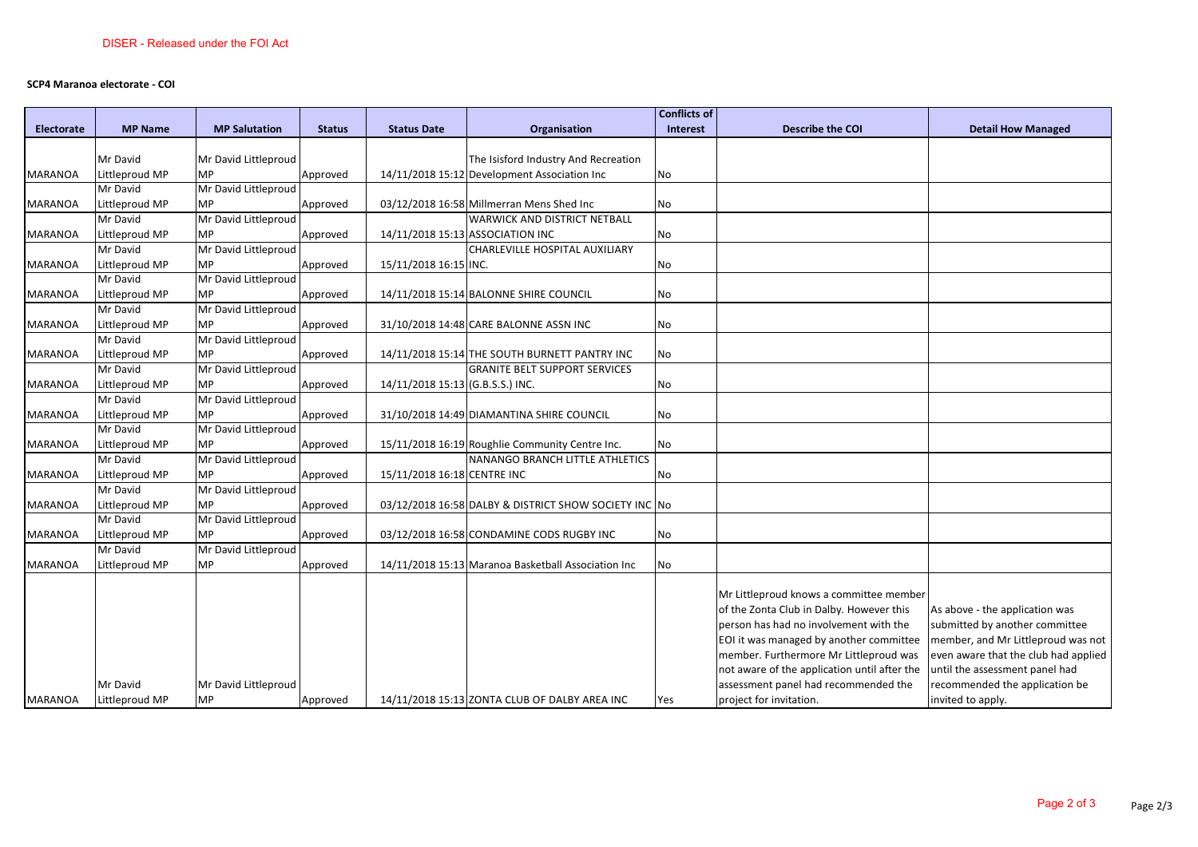## **SCP4 Maranoa electorate - COI**

| <b>MP Name</b><br><b>MP Salutation</b><br><b>Status</b><br><b>Status Date</b><br>Organisation<br>Interest<br><b>Describe the COI</b><br><b>Detail How Managed</b><br><b>Electorate</b><br>Mr David Littleproud<br>The Isisford Industry And Recreation<br>Mr David |  |
|--------------------------------------------------------------------------------------------------------------------------------------------------------------------------------------------------------------------------------------------------------------------|--|
|                                                                                                                                                                                                                                                                    |  |
|                                                                                                                                                                                                                                                                    |  |
|                                                                                                                                                                                                                                                                    |  |
| Littleproud MP<br><b>MP</b><br>14/11/2018 15:12 Development Association Inc<br><b>MARANOA</b><br>Approved<br>No                                                                                                                                                    |  |
| Mr David Littleproud<br>Mr David                                                                                                                                                                                                                                   |  |
| Littleproud MP<br><b>MP</b><br>03/12/2018 16:58 Millmerran Mens Shed Inc<br><b>MARANOA</b><br>Approved<br>No                                                                                                                                                       |  |
| Mr David<br>Mr David Littleproud<br>WARWICK AND DISTRICT NETBALL                                                                                                                                                                                                   |  |
| Littleproud MP<br><b>MP</b><br>14/11/2018 15:13 ASSOCIATION INC<br><b>MARANOA</b><br>Approved<br>No                                                                                                                                                                |  |
| Mr David Littleproud<br>CHARLEVILLE HOSPITAL AUXILIARY<br>Mr David                                                                                                                                                                                                 |  |
| <b>MP</b><br>Littleproud MP<br>Approved<br>15/11/2018 16:15 INC.<br><b>MARANOA</b><br>No                                                                                                                                                                           |  |
| Mr David Littleproud<br>Mr David                                                                                                                                                                                                                                   |  |
| Littleproud MP<br><b>MP</b><br><b>MARANOA</b><br>Approved<br>14/11/2018 15:14 BALONNE SHIRE COUNCIL<br>No                                                                                                                                                          |  |
| Mr David Littleproud<br>Mr David                                                                                                                                                                                                                                   |  |
| Littleproud MP<br><b>MP</b><br>31/10/2018 14:48 CARE BALONNE ASSN INC<br><b>MARANOA</b><br>Approved<br>No                                                                                                                                                          |  |
| Mr David Littleproud<br>Mr David                                                                                                                                                                                                                                   |  |
| <b>MP</b><br>Littleproud MP<br>Approved<br>14/11/2018 15:14 THE SOUTH BURNETT PANTRY INC<br>No<br>MARANOA                                                                                                                                                          |  |
| Mr David Littleproud<br>Mr David<br><b>GRANITE BELT SUPPORT SERVICES</b>                                                                                                                                                                                           |  |
| <b>MP</b><br>Littleproud MP<br>14/11/2018 15:13 (G.B.S.S.) INC.<br><b>MARANOA</b><br>Approved<br>No                                                                                                                                                                |  |
| Mr David Littleproud<br>Mr David                                                                                                                                                                                                                                   |  |
| <b>MP</b><br>Littleproud MP<br><b>MARANOA</b><br>Approved<br>31/10/2018 14:49 DIAMANTINA SHIRE COUNCIL<br>No                                                                                                                                                       |  |
| Mr David<br>Mr David Littleproud                                                                                                                                                                                                                                   |  |
| Littleproud MP<br><b>MP</b><br>15/11/2018 16:19 Roughlie Community Centre Inc.<br><b>MARANOA</b><br>Approved<br>No                                                                                                                                                 |  |
| NANANGO BRANCH LITTLE ATHLETICS<br>Mr David<br>Mr David Littleproud                                                                                                                                                                                                |  |
| <b>MP</b><br>Littleproud MP<br>Approved<br>15/11/2018 16:18 CENTRE INC<br>No<br>MARANOA                                                                                                                                                                            |  |
| Mr David Littleproud<br>Mr David                                                                                                                                                                                                                                   |  |
| <b>MP</b><br>Littleproud MP<br>Approved<br>03/12/2018 16:58 DALBY & DISTRICT SHOW SOCIETY INC No<br><b>MARANOA</b>                                                                                                                                                 |  |
| Mr David<br>Mr David Littleproud                                                                                                                                                                                                                                   |  |
| <b>MP</b><br><b>MARANOA</b><br>Littleproud MP<br>Approved<br>03/12/2018 16:58 CONDAMINE CODS RUGBY INC<br>No                                                                                                                                                       |  |
| Mr David Littleproud<br>Mr David                                                                                                                                                                                                                                   |  |
| Littleproud MP<br><b>MP</b><br>14/11/2018 15:13 Maranoa Basketball Association Inc<br><b>MARANOA</b><br>Approved<br>No                                                                                                                                             |  |
| Mr Littleproud knows a committee member                                                                                                                                                                                                                            |  |
| of the Zonta Club in Dalby. However this<br>As above - the application was                                                                                                                                                                                         |  |
| person has had no involvement with the<br>submitted by another committee                                                                                                                                                                                           |  |
| EOI it was managed by another committee<br>member, and Mr Littleproud was not                                                                                                                                                                                      |  |
| member. Furthermore Mr Littleproud was<br>even aware that the club had applied                                                                                                                                                                                     |  |
| not aware of the application until after the<br>until the assessment panel had                                                                                                                                                                                     |  |
| assessment panel had recommended the<br>recommended the application be<br>Mr David<br>Mr David Littleproud                                                                                                                                                         |  |
| <b>MP</b><br>project for invitation.<br><b>MARANOA</b><br>Littleproud MP<br>14/11/2018 15:13 ZONTA CLUB OF DALBY AREA INC<br>invited to apply.<br>Approved<br>Yes                                                                                                  |  |